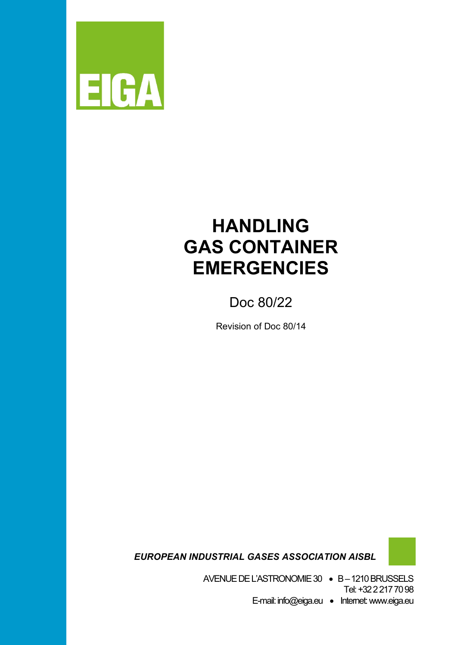

# **HANDLING GAS CONTAINER EMERGENCIES**

Doc 80/22

Revision of Doc 80/14

 *EUROPEAN INDUSTRIAL GASES ASSOCIATION AISBL*

AVENUE DE L'ASTRONOMIE 30 • B –1210 BRUSSELS

Tel: +32 2 217 70 98 E-mail: info@eiga.eu • Internet:www.eiga.eu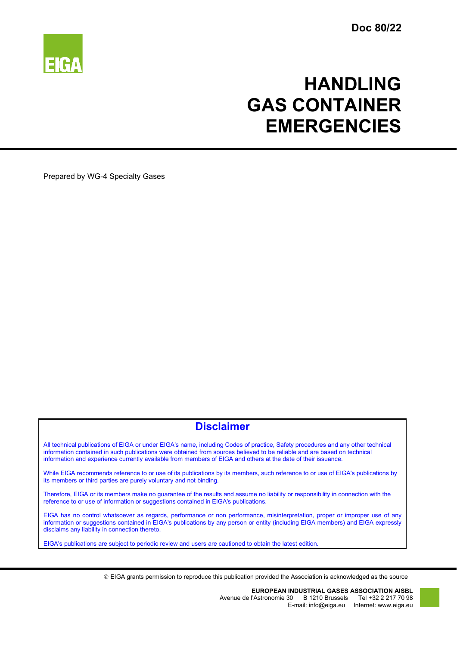

# **HANDLING GAS CONTAINER EMERGENCIES**

Prepared by WG-4 Specialty Gases

# **Disclaimer**

All technical publications of EIGA or under EIGA's name, including Codes of practice, Safety procedures and any other technical information contained in such publications were obtained from sources believed to be reliable and are based on technical information and experience currently available from members of EIGA and others at the date of their issuance.

While EIGA recommends reference to or use of its publications by its members, such reference to or use of EIGA's publications by its members or third parties are purely voluntary and not binding.

Therefore, EIGA or its members make no guarantee of the results and assume no liability or responsibility in connection with the reference to or use of information or suggestions contained in EIGA's publications.

EIGA has no control whatsoever as regards, performance or non performance, misinterpretation, proper or improper use of any information or suggestions contained in EIGA's publications by any person or entity (including EIGA members) and EIGA expressly disclaims any liability in connection thereto.

EIGA's publications are subject to periodic review and users are cautioned to obtain the latest edition.

EIGA grants permission to reproduce this publication provided the Association is acknowledged as the source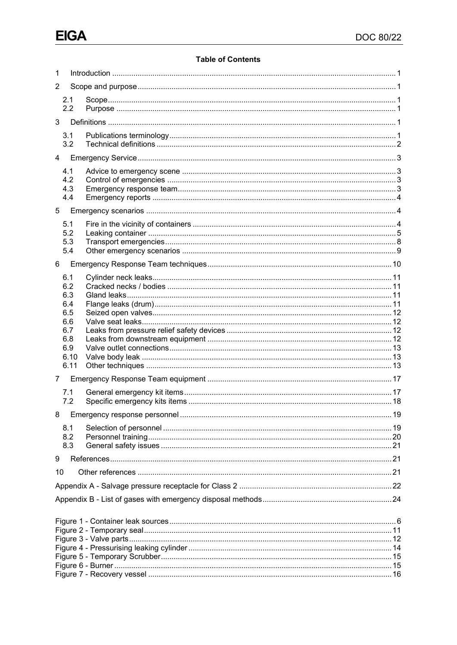### **Table of Contents**

| 2<br>2.1<br>2.2<br>3<br>3.1<br>3.2<br>4<br>4.1<br>4.2<br>4.3<br>4.4<br>5<br>5.1<br>5.2<br>5.3<br>5.4<br>6<br>6.1<br>6.2<br>6.3<br>6.4<br>6.5<br>6.6<br>6.7<br>6.8<br>6.9<br>6.10<br>6.11<br>7<br>7.1<br>7.2<br>8.1<br>8.2<br>8.3<br>9<br>10 | 1 |  |  |  |  |  |
|---------------------------------------------------------------------------------------------------------------------------------------------------------------------------------------------------------------------------------------------|---|--|--|--|--|--|
|                                                                                                                                                                                                                                             |   |  |  |  |  |  |
|                                                                                                                                                                                                                                             |   |  |  |  |  |  |
|                                                                                                                                                                                                                                             |   |  |  |  |  |  |
|                                                                                                                                                                                                                                             |   |  |  |  |  |  |
|                                                                                                                                                                                                                                             |   |  |  |  |  |  |
|                                                                                                                                                                                                                                             |   |  |  |  |  |  |
|                                                                                                                                                                                                                                             |   |  |  |  |  |  |
|                                                                                                                                                                                                                                             |   |  |  |  |  |  |
|                                                                                                                                                                                                                                             |   |  |  |  |  |  |
|                                                                                                                                                                                                                                             |   |  |  |  |  |  |
|                                                                                                                                                                                                                                             |   |  |  |  |  |  |
|                                                                                                                                                                                                                                             |   |  |  |  |  |  |
|                                                                                                                                                                                                                                             |   |  |  |  |  |  |
|                                                                                                                                                                                                                                             |   |  |  |  |  |  |
|                                                                                                                                                                                                                                             |   |  |  |  |  |  |
|                                                                                                                                                                                                                                             |   |  |  |  |  |  |
|                                                                                                                                                                                                                                             |   |  |  |  |  |  |
|                                                                                                                                                                                                                                             |   |  |  |  |  |  |
|                                                                                                                                                                                                                                             |   |  |  |  |  |  |
|                                                                                                                                                                                                                                             |   |  |  |  |  |  |
|                                                                                                                                                                                                                                             |   |  |  |  |  |  |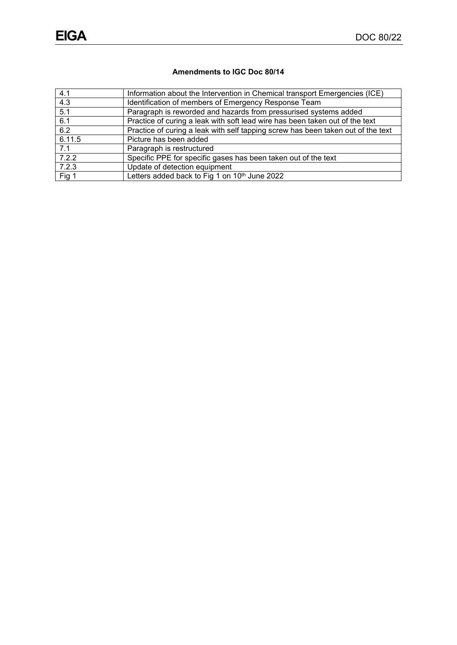## **Amendments to IGC Doc 80/14**

| 4.1    | Information about the Intervention in Chemical transport Emergencies (ICE)       |
|--------|----------------------------------------------------------------------------------|
| 4.3    | Identification of members of Emergency Response Team                             |
| 5.1    | Paragraph is reworded and hazards from pressurised systems added                 |
| 6.1    | Practice of curing a leak with soft lead wire has been taken out of the text     |
| 6.2    | Practice of curing a leak with self tapping screw has been taken out of the text |
| 6.11.5 | Picture has been added                                                           |
| 7.1    | Paragraph is restructured                                                        |
| 7.2.2  | Specific PPE for specific gases has been taken out of the text                   |
| 7.2.3  | Update of detection equipment                                                    |
| Fig 1  | Letters added back to Fig 1 on 10th June 2022                                    |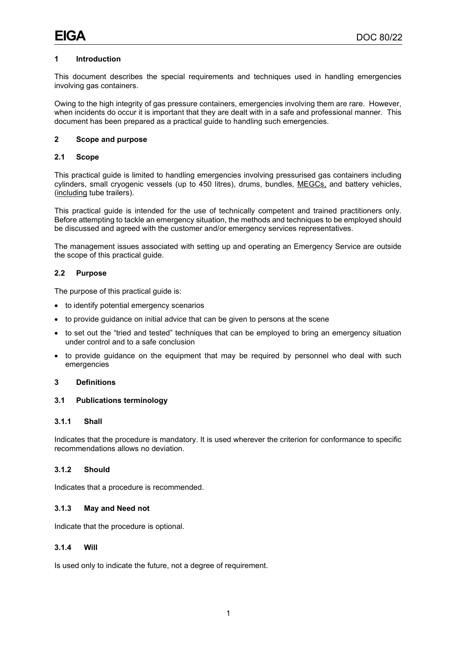#### **1 Introduction**

This document describes the special requirements and techniques used in handling emergencies involving gas containers.

Owing to the high integrity of gas pressure containers, emergencies involving them are rare. However, when incidents do occur it is important that they are dealt with in a safe and professional manner. This document has been prepared as a practical guide to handling such emergencies.

#### **2 Scope and purpose**

### **2.1 Scope**

This practical guide is limited to handling emergencies involving pressurised gas containers including cylinders, small cryogenic vessels (up to 450 litres), drums, bundles, MEGCs, and battery vehicles, (including tube trailers).

This practical guide is intended for the use of technically competent and trained practitioners only. Before attempting to tackle an emergency situation, the methods and techniques to be employed should be discussed and agreed with the customer and/or emergency services representatives.

The management issues associated with setting up and operating an Emergency Service are outside the scope of this practical guide.

#### **2.2 Purpose**

The purpose of this practical guide is:

- to identify potential emergency scenarios
- to provide guidance on initial advice that can be given to persons at the scene
- to set out the "tried and tested" techniques that can be employed to bring an emergency situation under control and to a safe conclusion
- to provide guidance on the equipment that may be required by personnel who deal with such emergencies

#### **3 Definitions**

#### **3.1 Publications terminology**

#### **3.1.1 Shall**

Indicates that the procedure is mandatory. It is used wherever the criterion for conformance to specific recommendations allows no deviation.

#### **3.1.2 Should**

Indicates that a procedure is recommended.

#### **3.1.3 May and Need not**

Indicate that the procedure is optional.

#### **3.1.4 Will**

Is used only to indicate the future, not a degree of requirement.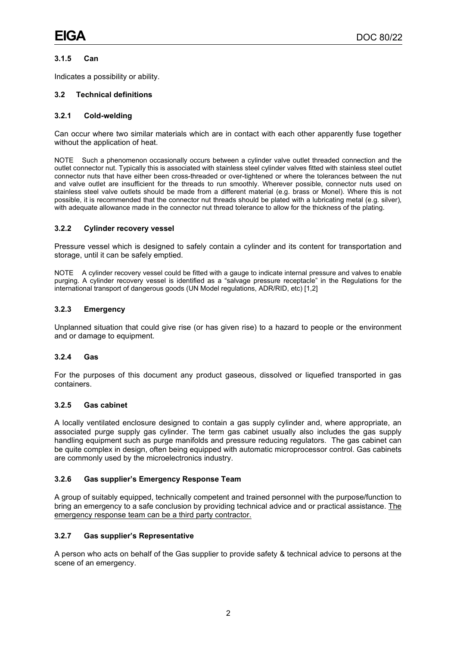#### **3.1.5 Can**

Indicates a possibility or ability.

#### **3.2 Technical definitions**

#### **3.2.1 Cold-welding**

Can occur where two similar materials which are in contact with each other apparently fuse together without the application of heat.

NOTE Such a phenomenon occasionally occurs between a cylinder valve outlet threaded connection and the outlet connector nut. Typically this is associated with stainless steel cylinder valves fitted with stainless steel outlet connector nuts that have either been cross-threaded or over-tightened or where the tolerances between the nut and valve outlet are insufficient for the threads to run smoothly. Wherever possible, connector nuts used on stainless steel valve outlets should be made from a different material (e.g. brass or Monel). Where this is not possible, it is recommended that the connector nut threads should be plated with a lubricating metal (e.g. silver), with adequate allowance made in the connector nut thread tolerance to allow for the thickness of the plating.

#### **3.2.2 Cylinder recovery vessel**

Pressure vessel which is designed to safely contain a cylinder and its content for transportation and storage, until it can be safely emptied.

NOTE A cylinder recovery vessel could be fitted with a gauge to indicate internal pressure and valves to enable purging. A cylinder recovery vessel is identified as a "salvage pressure receptacle" in the Regulations for the international transport of dangerous goods (UN Model regulations, ADR/RID, etc) [1,2]

#### **3.2.3 Emergency**

Unplanned situation that could give rise (or has given rise) to a hazard to people or the environment and or damage to equipment.

#### **3.2.4 Gas**

For the purposes of this document any product gaseous, dissolved or liquefied transported in gas containers.

#### **3.2.5 Gas cabinet**

A locally ventilated enclosure designed to contain a gas supply cylinder and, where appropriate, an associated purge supply gas cylinder. The term gas cabinet usually also includes the gas supply handling equipment such as purge manifolds and pressure reducing regulators. The gas cabinet can be quite complex in design, often being equipped with automatic microprocessor control. Gas cabinets are commonly used by the microelectronics industry.

#### **3.2.6 Gas supplier's Emergency Response Team**

A group of suitably equipped, technically competent and trained personnel with the purpose/function to bring an emergency to a safe conclusion by providing technical advice and or practical assistance. The emergency response team can be a third party contractor.

#### **3.2.7 Gas supplier's Representative**

A person who acts on behalf of the Gas supplier to provide safety & technical advice to persons at the scene of an emergency.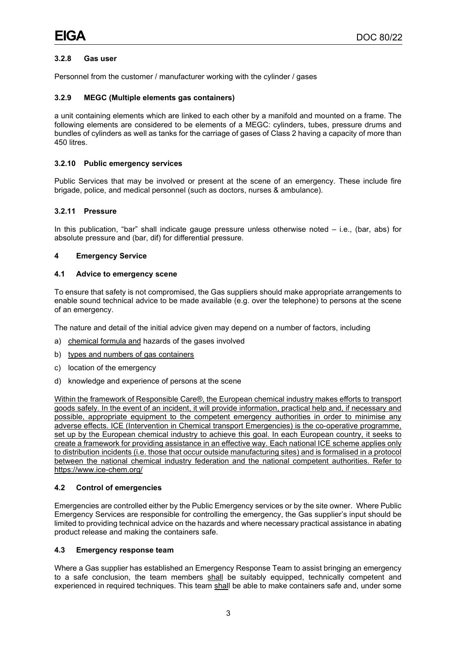#### **3.2.8 Gas user**

Personnel from the customer / manufacturer working with the cylinder / gases

#### **3.2.9 MEGC (Multiple elements gas containers)**

a unit containing elements which are linked to each other by a manifold and mounted on a frame. The following elements are considered to be elements of a MEGC: cylinders, tubes, pressure drums and bundles of cylinders as well as tanks for the carriage of gases of Class 2 having a capacity of more than 450 litres.

#### **3.2.10 Public emergency services**

Public Services that may be involved or present at the scene of an emergency. These include fire brigade, police, and medical personnel (such as doctors, nurses & ambulance).

#### **3.2.11 Pressure**

In this publication, "bar" shall indicate gauge pressure unless otherwise noted – i.e., (bar, abs) for absolute pressure and (bar, dif) for differential pressure.

#### **4 Emergency Service**

#### **4.1 Advice to emergency scene**

To ensure that safety is not compromised, the Gas suppliers should make appropriate arrangements to enable sound technical advice to be made available (e.g. over the telephone) to persons at the scene of an emergency.

The nature and detail of the initial advice given may depend on a number of factors, including

- a) chemical formula and hazards of the gases involved
- b) types and numbers of gas containers
- c) location of the emergency
- d) knowledge and experience of persons at the scene

Within the framework of Responsible Care®, the European chemical industry makes efforts to transport goods safely. In the event of an incident, it will provide information, practical help and, if necessary and possible, appropriate equipment to the competent emergency authorities in order to minimise any adverse effects. ICE (Intervention in Chemical transport Emergencies) is the co-operative programme, set up by the European chemical industry to achieve this goal. In each European country, it seeks to create a framework for providing assistance in an effective way. Each national ICE scheme applies only to distribution incidents (i.e. those that occur outside manufacturing sites) and is formalised in a protocol between the national chemical industry federation and the national competent authorities. Refer to https://www.ice-chem.org/

#### **4.2 Control of emergencies**

Emergencies are controlled either by the Public Emergency services or by the site owner. Where Public Emergency Services are responsible for controlling the emergency, the Gas supplier's input should be limited to providing technical advice on the hazards and where necessary practical assistance in abating product release and making the containers safe.

#### **4.3 Emergency response team**

Where a Gas supplier has established an Emergency Response Team to assist bringing an emergency to a safe conclusion, the team members shall be suitably equipped, technically competent and experienced in required techniques. This team shall be able to make containers safe and, under some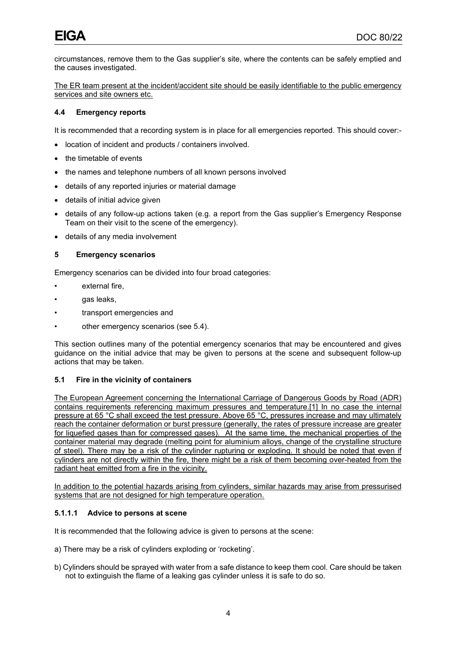circumstances, remove them to the Gas supplier's site, where the contents can be safely emptied and the causes investigated.

The ER team present at the incident/accident site should be easily identifiable to the public emergency services and site owners etc.

#### **4.4 Emergency reports**

It is recommended that a recording system is in place for all emergencies reported. This should cover:-

- location of incident and products / containers involved.
- the timetable of events
- the names and telephone numbers of all known persons involved
- details of any reported injuries or material damage
- details of initial advice given
- details of any follow-up actions taken (e.g. a report from the Gas supplier's Emergency Response Team on their visit to the scene of the emergency).
- details of any media involvement

#### **5 Emergency scenarios**

Emergency scenarios can be divided into four broad categories:

- external fire,
- gas leaks.
- transport emergencies and
- other emergency scenarios (see 5.4).

This section outlines many of the potential emergency scenarios that may be encountered and gives guidance on the initial advice that may be given to persons at the scene and subsequent follow-up actions that may be taken.

#### **5.1 Fire in the vicinity of containers**

The European Agreement concerning the International Carriage of Dangerous Goods by Road (ADR) contains requirements referencing maximum pressures and temperature.[1] In no case the internal pressure at 65 °C shall exceed the test pressure. Above 65 °C, pressures increase and may ultimately reach the container deformation or burst pressure (generally, the rates of pressure increase are greater for liquefied gases than for compressed gases). At the same time, the mechanical properties of the container material may degrade (melting point for aluminium alloys, change of the crystalline structure of steel). There may be a risk of the cylinder rupturing or exploding. It should be noted that even if cylinders are not directly within the fire, there might be a risk of them becoming over-heated from the radiant heat emitted from a fire in the vicinity.

In addition to the potential hazards arising from cylinders, similar hazards may arise from pressurised systems that are not designed for high temperature operation.

#### **5.1.1.1 Advice to persons at scene**

It is recommended that the following advice is given to persons at the scene:

- a) There may be a risk of cylinders exploding or 'rocketing'.
- b) Cylinders should be sprayed with water from a safe distance to keep them cool. Care should be taken not to extinguish the flame of a leaking gas cylinder unless it is safe to do so.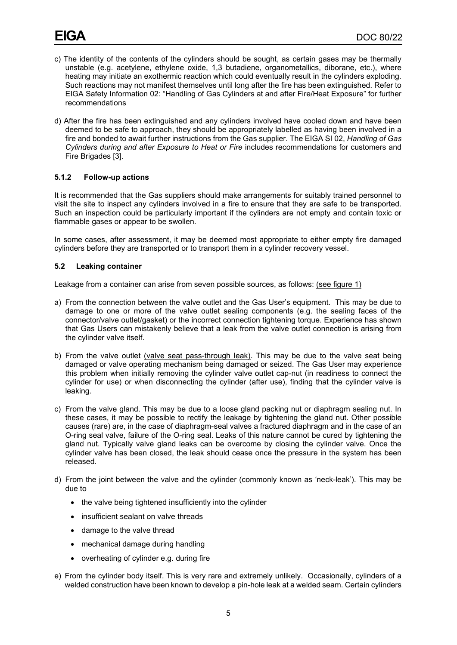- c) The identity of the contents of the cylinders should be sought, as certain gases may be thermally unstable (e.g. acetylene, ethylene oxide, 1,3 butadiene, organometallics, diborane, etc.), where heating may initiate an exothermic reaction which could eventually result in the cylinders exploding. Such reactions may not manifest themselves until long after the fire has been extinguished. Refer to EIGA Safety Information 02: "Handling of Gas Cylinders at and after Fire/Heat Exposure" for further recommendations
- d) After the fire has been extinguished and any cylinders involved have cooled down and have been deemed to be safe to approach, they should be appropriately labelled as having been involved in a fire and bonded to await further instructions from the Gas supplier. The EIGA SI 02, *Handling of Gas Cylinders during and after Exposure to Heat or Fire* includes recommendations for customers and Fire Brigades [3].

#### **5.1.2 Follow-up actions**

It is recommended that the Gas suppliers should make arrangements for suitably trained personnel to visit the site to inspect any cylinders involved in a fire to ensure that they are safe to be transported. Such an inspection could be particularly important if the cylinders are not empty and contain toxic or flammable gases or appear to be swollen.

In some cases, after assessment, it may be deemed most appropriate to either empty fire damaged cylinders before they are transported or to transport them in a cylinder recovery vessel.

#### **5.2 Leaking container**

Leakage from a container can arise from seven possible sources, as follows: (see figure 1)

- a) From the connection between the valve outlet and the Gas User's equipment. This may be due to damage to one or more of the valve outlet sealing components (e.g. the sealing faces of the connector/valve outlet/gasket) or the incorrect connection tightening torque. Experience has shown that Gas Users can mistakenly believe that a leak from the valve outlet connection is arising from the cylinder valve itself.
- b) From the valve outlet (valve seat pass-through leak). This may be due to the valve seat being damaged or valve operating mechanism being damaged or seized. The Gas User may experience this problem when initially removing the cylinder valve outlet cap-nut (in readiness to connect the cylinder for use) or when disconnecting the cylinder (after use), finding that the cylinder valve is leaking.
- c) From the valve gland. This may be due to a loose gland packing nut or diaphragm sealing nut. In these cases, it may be possible to rectify the leakage by tightening the gland nut. Other possible causes (rare) are, in the case of diaphragm-seal valves a fractured diaphragm and in the case of an O-ring seal valve, failure of the O-ring seal. Leaks of this nature cannot be cured by tightening the gland nut. Typically valve gland leaks can be overcome by closing the cylinder valve. Once the cylinder valve has been closed, the leak should cease once the pressure in the system has been released.
- d) From the joint between the valve and the cylinder (commonly known as 'neck-leak'). This may be due to
	- the valve being tightened insufficiently into the cylinder
	- insufficient sealant on valve threads
	- damage to the valve thread
	- mechanical damage during handling
	- overheating of cylinder e.g. during fire
- e) From the cylinder body itself. This is very rare and extremely unlikely. Occasionally, cylinders of a welded construction have been known to develop a pin-hole leak at a welded seam. Certain cylinders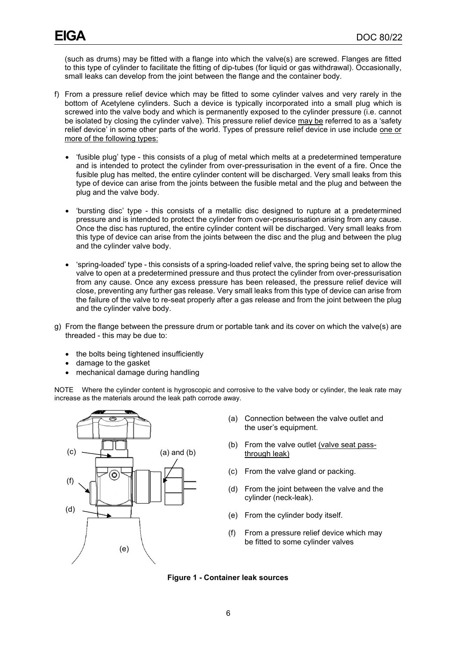(such as drums) may be fitted with a flange into which the valve(s) are screwed. Flanges are fitted to this type of cylinder to facilitate the fitting of dip-tubes (for liquid or gas withdrawal). Occasionally, small leaks can develop from the joint between the flange and the container body.

- f) From a pressure relief device which may be fitted to some cylinder valves and very rarely in the bottom of Acetylene cylinders. Such a device is typically incorporated into a small plug which is screwed into the valve body and which is permanently exposed to the cylinder pressure (i.e. cannot be isolated by closing the cylinder valve). This pressure relief device may be referred to as a 'safety relief device' in some other parts of the world. Types of pressure relief device in use include one or more of the following types:
	- 'fusible plug' type this consists of a plug of metal which melts at a predetermined temperature and is intended to protect the cylinder from over-pressurisation in the event of a fire. Once the fusible plug has melted, the entire cylinder content will be discharged. Very small leaks from this type of device can arise from the joints between the fusible metal and the plug and between the plug and the valve body.
	- 'bursting disc' type this consists of a metallic disc designed to rupture at a predetermined pressure and is intended to protect the cylinder from over-pressurisation arising from any cause. Once the disc has ruptured, the entire cylinder content will be discharged. Very small leaks from this type of device can arise from the joints between the disc and the plug and between the plug and the cylinder valve body.
	- 'spring-loaded' type this consists of a spring-loaded relief valve, the spring being set to allow the valve to open at a predetermined pressure and thus protect the cylinder from over-pressurisation from any cause. Once any excess pressure has been released, the pressure relief device will close, preventing any further gas release. Very small leaks from this type of device can arise from the failure of the valve to re-seat properly after a gas release and from the joint between the plug and the cylinder valve body.
- g) From the flange between the pressure drum or portable tank and its cover on which the valve(s) are threaded - this may be due to:
	- the bolts being tightened insufficiently
	- damage to the gasket
	- mechanical damage during handling

NOTE Where the cylinder content is hygroscopic and corrosive to the valve body or cylinder, the leak rate may increase as the materials around the leak path corrode away.



- (a) Connection between the valve outlet and the user's equipment.
- (b) From the valve outlet (valve seat passthrough leak)
- (c) From the valve gland or packing.
- (d) From the joint between the valve and the cylinder (neck-leak).
- (e) From the cylinder body itself.
- (f) From a pressure relief device which may be fitted to some cylinder valves

<span id="page-9-0"></span>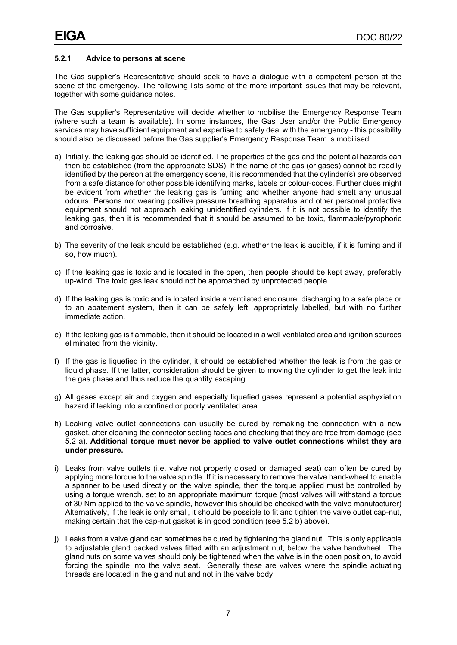#### **5.2.1 Advice to persons at scene**

The Gas supplier's Representative should seek to have a dialogue with a competent person at the scene of the emergency. The following lists some of the more important issues that may be relevant, together with some guidance notes.

The Gas supplier's Representative will decide whether to mobilise the Emergency Response Team (where such a team is available). In some instances, the Gas User and/or the Public Emergency services may have sufficient equipment and expertise to safely deal with the emergency - this possibility should also be discussed before the Gas supplier's Emergency Response Team is mobilised.

- a) Initially, the leaking gas should be identified. The properties of the gas and the potential hazards can then be established (from the appropriate SDS). If the name of the gas (or gases) cannot be readily identified by the person at the emergency scene, it is recommended that the cylinder(s) are observed from a safe distance for other possible identifying marks, labels or colour-codes. Further clues might be evident from whether the leaking gas is fuming and whether anyone had smelt any unusual odours. Persons not wearing positive pressure breathing apparatus and other personal protective equipment should not approach leaking unidentified cylinders. If it is not possible to identify the leaking gas, then it is recommended that it should be assumed to be toxic, flammable/pyrophoric and corrosive.
- b) The severity of the leak should be established (e.g. whether the leak is audible, if it is fuming and if so, how much).
- c) If the leaking gas is toxic and is located in the open, then people should be kept away, preferably up-wind. The toxic gas leak should not be approached by unprotected people.
- d) If the leaking gas is toxic and is located inside a ventilated enclosure, discharging to a safe place or to an abatement system, then it can be safely left, appropriately labelled, but with no further immediate action.
- e) If the leaking gas is flammable, then it should be located in a well ventilated area and ignition sources eliminated from the vicinity.
- f) If the gas is liquefied in the cylinder, it should be established whether the leak is from the gas or liquid phase. If the latter, consideration should be given to moving the cylinder to get the leak into the gas phase and thus reduce the quantity escaping.
- g) All gases except air and oxygen and especially liquefied gases represent a potential asphyxiation hazard if leaking into a confined or poorly ventilated area.
- h) Leaking valve outlet connections can usually be cured by remaking the connection with a new gasket, after cleaning the connector sealing faces and checking that they are free from damage (see 5.2 a). **Additional torque must never be applied to valve outlet connections whilst they are under pressure.**
- i) Leaks from valve outlets (i.e. valve not properly closed or damaged seat) can often be cured by applying more torque to the valve spindle. If it is necessary to remove the valve hand-wheel to enable a spanner to be used directly on the valve spindle, then the torque applied must be controlled by using a torque wrench, set to an appropriate maximum torque (most valves will withstand a torque of 30 Nm applied to the valve spindle, however this should be checked with the valve manufacturer) Alternatively, if the leak is only small, it should be possible to fit and tighten the valve outlet cap-nut, making certain that the cap-nut gasket is in good condition (see 5.2 b) above).
- j) Leaks from a valve gland can sometimes be cured by tightening the gland nut. This is only applicable to adjustable gland packed valves fitted with an adjustment nut, below the valve handwheel. The gland nuts on some valves should only be tightened when the valve is in the open position, to avoid forcing the spindle into the valve seat. Generally these are valves where the spindle actuating threads are located in the gland nut and not in the valve body.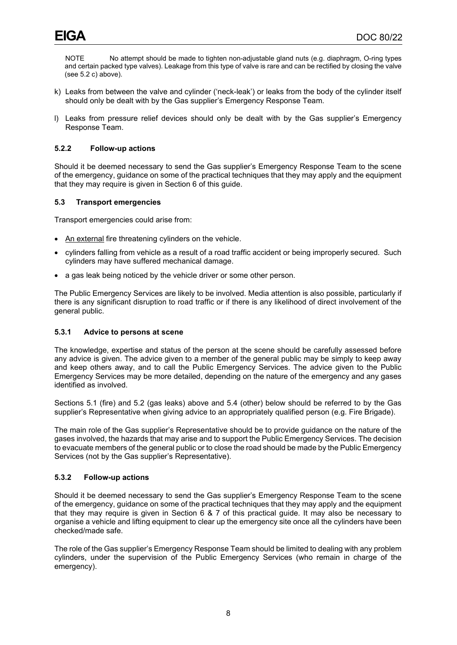NOTE No attempt should be made to tighten non-adjustable gland nuts (e.g. diaphragm, O-ring types and certain packed type valves). Leakage from this type of valve is rare and can be rectified by closing the valve (see 5.2 c) above).

- k) Leaks from between the valve and cylinder ('neck-leak') or leaks from the body of the cylinder itself should only be dealt with by the Gas supplier's Emergency Response Team.
- l) Leaks from pressure relief devices should only be dealt with by the Gas supplier's Emergency Response Team.

#### **5.2.2 Follow-up actions**

Should it be deemed necessary to send the Gas supplier's Emergency Response Team to the scene of the emergency, guidance on some of the practical techniques that they may apply and the equipment that they may require is given in Section 6 of this guide.

#### **5.3 Transport emergencies**

Transport emergencies could arise from:

- An external fire threatening cylinders on the vehicle.
- cylinders falling from vehicle as a result of a road traffic accident or being improperly secured. Such cylinders may have suffered mechanical damage.
- a gas leak being noticed by the vehicle driver or some other person.

The Public Emergency Services are likely to be involved. Media attention is also possible, particularly if there is any significant disruption to road traffic or if there is any likelihood of direct involvement of the general public.

#### **5.3.1 Advice to persons at scene**

The knowledge, expertise and status of the person at the scene should be carefully assessed before any advice is given. The advice given to a member of the general public may be simply to keep away and keep others away, and to call the Public Emergency Services. The advice given to the Public Emergency Services may be more detailed, depending on the nature of the emergency and any gases identified as involved.

Sections 5.1 (fire) and 5.2 (gas leaks) above and 5.4 (other) below should be referred to by the Gas supplier's Representative when giving advice to an appropriately qualified person (e.g. Fire Brigade).

The main role of the Gas supplier's Representative should be to provide guidance on the nature of the gases involved, the hazards that may arise and to support the Public Emergency Services. The decision to evacuate members of the general public or to close the road should be made by the Public Emergency Services (not by the Gas supplier's Representative).

#### **5.3.2 Follow-up actions**

Should it be deemed necessary to send the Gas supplier's Emergency Response Team to the scene of the emergency, guidance on some of the practical techniques that they may apply and the equipment that they may require is given in Section 6 & 7 of this practical guide. It may also be necessary to organise a vehicle and lifting equipment to clear up the emergency site once all the cylinders have been checked/made safe.

The role of the Gas supplier's Emergency Response Team should be limited to dealing with any problem cylinders, under the supervision of the Public Emergency Services (who remain in charge of the emergency).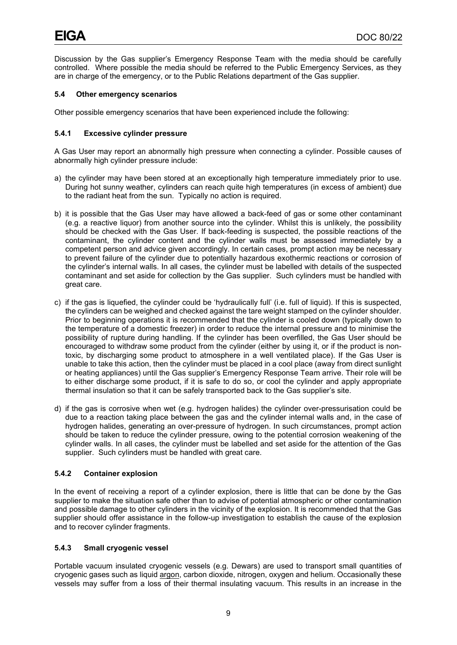Discussion by the Gas supplier's Emergency Response Team with the media should be carefully controlled. Where possible the media should be referred to the Public Emergency Services, as they are in charge of the emergency, or to the Public Relations department of the Gas supplier.

#### **5.4 Other emergency scenarios**

Other possible emergency scenarios that have been experienced include the following:

#### **5.4.1 Excessive cylinder pressure**

A Gas User may report an abnormally high pressure when connecting a cylinder. Possible causes of abnormally high cylinder pressure include:

- a) the cylinder may have been stored at an exceptionally high temperature immediately prior to use. During hot sunny weather, cylinders can reach quite high temperatures (in excess of ambient) due to the radiant heat from the sun. Typically no action is required.
- b) it is possible that the Gas User may have allowed a back-feed of gas or some other contaminant (e.g. a reactive liquor) from another source into the cylinder. Whilst this is unlikely, the possibility should be checked with the Gas User. If back-feeding is suspected, the possible reactions of the contaminant, the cylinder content and the cylinder walls must be assessed immediately by a competent person and advice given accordingly. In certain cases, prompt action may be necessary to prevent failure of the cylinder due to potentially hazardous exothermic reactions or corrosion of the cylinder's internal walls. In all cases, the cylinder must be labelled with details of the suspected contaminant and set aside for collection by the Gas supplier. Such cylinders must be handled with great care.
- c) if the gas is liquefied, the cylinder could be 'hydraulically full' (i.e. full of liquid). If this is suspected, the cylinders can be weighed and checked against the tare weight stamped on the cylinder shoulder. Prior to beginning operations it is recommended that the cylinder is cooled down (typically down to the temperature of a domestic freezer) in order to reduce the internal pressure and to minimise the possibility of rupture during handling. If the cylinder has been overfilled, the Gas User should be encouraged to withdraw some product from the cylinder (either by using it, or if the product is nontoxic, by discharging some product to atmosphere in a well ventilated place). If the Gas User is unable to take this action, then the cylinder must be placed in a cool place (away from direct sunlight or heating appliances) until the Gas supplier's Emergency Response Team arrive. Their role will be to either discharge some product, if it is safe to do so, or cool the cylinder and apply appropriate thermal insulation so that it can be safely transported back to the Gas supplier's site.
- d) if the gas is corrosive when wet (e.g. hydrogen halides) the cylinder over-pressurisation could be due to a reaction taking place between the gas and the cylinder internal walls and, in the case of hydrogen halides, generating an over-pressure of hydrogen. In such circumstances, prompt action should be taken to reduce the cylinder pressure, owing to the potential corrosion weakening of the cylinder walls. In all cases, the cylinder must be labelled and set aside for the attention of the Gas supplier. Such cylinders must be handled with great care.

#### **5.4.2 Container explosion**

In the event of receiving a report of a cylinder explosion, there is little that can be done by the Gas supplier to make the situation safe other than to advise of potential atmospheric or other contamination and possible damage to other cylinders in the vicinity of the explosion. It is recommended that the Gas supplier should offer assistance in the follow-up investigation to establish the cause of the explosion and to recover cylinder fragments.

#### **5.4.3 Small cryogenic vessel**

Portable vacuum insulated cryogenic vessels (e.g. Dewars) are used to transport small quantities of cryogenic gases such as liquid argon, carbon dioxide, nitrogen, oxygen and helium. Occasionally these vessels may suffer from a loss of their thermal insulating vacuum. This results in an increase in the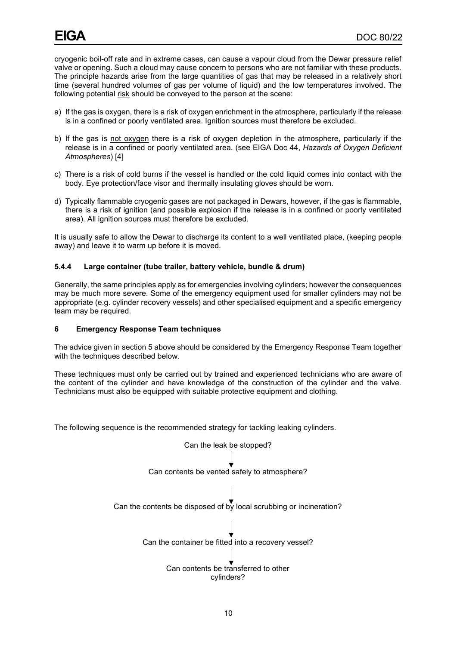cryogenic boil-off rate and in extreme cases, can cause a vapour cloud from the Dewar pressure relief valve or opening. Such a cloud may cause concern to persons who are not familiar with these products. The principle hazards arise from the large quantities of gas that may be released in a relatively short time (several hundred volumes of gas per volume of liquid) and the low temperatures involved. The following potential risk should be conveyed to the person at the scene:

- a) If the gas is oxygen, there is a risk of oxygen enrichment in the atmosphere, particularly if the release is in a confined or poorly ventilated area. Ignition sources must therefore be excluded.
- b) If the gas is not oxygen there is a risk of oxygen depletion in the atmosphere, particularly if the release is in a confined or poorly ventilated area. (see EIGA Doc 44, *Hazards of Oxygen Deficient Atmospheres*) [4]
- c) There is a risk of cold burns if the vessel is handled or the cold liquid comes into contact with the body. Eye protection/face visor and thermally insulating gloves should be worn.
- d) Typically flammable cryogenic gases are not packaged in Dewars, however, if the gas is flammable, there is a risk of ignition (and possible explosion if the release is in a confined or poorly ventilated area). All ignition sources must therefore be excluded.

It is usually safe to allow the Dewar to discharge its content to a well ventilated place, (keeping people away) and leave it to warm up before it is moved.

#### **5.4.4 Large container (tube trailer, battery vehicle, bundle & drum)**

Generally, the same principles apply as for emergencies involving cylinders; however the consequences may be much more severe. Some of the emergency equipment used for smaller cylinders may not be appropriate (e.g. cylinder recovery vessels) and other specialised equipment and a specific emergency team may be required.

#### **6 Emergency Response Team techniques**

The advice given in section 5 above should be considered by the Emergency Response Team together with the techniques described below.

These techniques must only be carried out by trained and experienced technicians who are aware of the content of the cylinder and have knowledge of the construction of the cylinder and the valve. Technicians must also be equipped with suitable protective equipment and clothing.

The following sequence is the recommended strategy for tackling leaking cylinders.

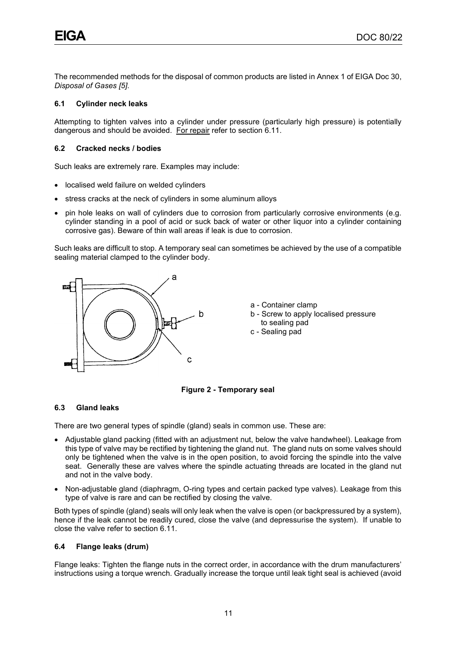The recommended methods for the disposal of common products are listed in Annex 1 of EIGA Doc 30, *Disposal of Gases [5]*.

#### **6.1 Cylinder neck leaks**

Attempting to tighten valves into a cylinder under pressure (particularly high pressure) is potentially dangerous and should be avoided. For repair refer to section 6.11.

#### **6.2 Cracked necks / bodies**

Such leaks are extremely rare. Examples may include:

- localised weld failure on welded cylinders
- stress cracks at the neck of cylinders in some aluminum alloys
- pin hole leaks on wall of cylinders due to corrosion from particularly corrosive environments (e.g. cylinder standing in a pool of acid or suck back of water or other liquor into a cylinder containing corrosive gas). Beware of thin wall areas if leak is due to corrosion.

Such leaks are difficult to stop. A temporary seal can sometimes be achieved by the use of a compatible sealing material clamped to the cylinder body.



- a Container clamp
- b Screw to apply localised pressure to sealing pad
- c Sealing pad



#### <span id="page-14-0"></span>**6.3 Gland leaks**

There are two general types of spindle (gland) seals in common use. These are:

- Adjustable gland packing (fitted with an adjustment nut, below the valve handwheel). Leakage from this type of valve may be rectified by tightening the gland nut. The gland nuts on some valves should only be tightened when the valve is in the open position, to avoid forcing the spindle into the valve seat. Generally these are valves where the spindle actuating threads are located in the gland nut and not in the valve body.
- Non-adjustable gland (diaphragm, O-ring types and certain packed type valves). Leakage from this type of valve is rare and can be rectified by closing the valve.

Both types of spindle (gland) seals will only leak when the valve is open (or backpressured by a system), hence if the leak cannot be readily cured, close the valve (and depressurise the system). If unable to close the valve refer to section 6.11.

#### **6.4 Flange leaks (drum)**

Flange leaks: Tighten the flange nuts in the correct order, in accordance with the drum manufacturers' instructions using a torque wrench. Gradually increase the torque until leak tight seal is achieved (avoid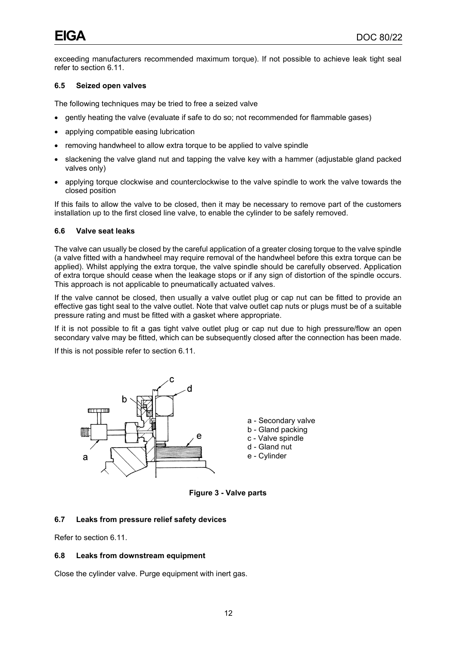exceeding manufacturers recommended maximum torque). If not possible to achieve leak tight seal refer to section 6.11.

#### **6.5 Seized open valves**

The following techniques may be tried to free a seized valve

- gently heating the valve (evaluate if safe to do so; not recommended for flammable gases)
- applying compatible easing lubrication
- removing handwheel to allow extra torque to be applied to valve spindle
- slackening the valve gland nut and tapping the valve key with a hammer (adjustable gland packed valves only)
- applying torque clockwise and counterclockwise to the valve spindle to work the valve towards the closed position

If this fails to allow the valve to be closed, then it may be necessary to remove part of the customers installation up to the first closed line valve, to enable the cylinder to be safely removed.

#### **6.6 Valve seat leaks**

The valve can usually be closed by the careful application of a greater closing torque to the valve spindle (a valve fitted with a handwheel may require removal of the handwheel before this extra torque can be applied). Whilst applying the extra torque, the valve spindle should be carefully observed. Application of extra torque should cease when the leakage stops or if any sign of distortion of the spindle occurs. This approach is not applicable to pneumatically actuated valves.

If the valve cannot be closed, then usually a valve outlet plug or cap nut can be fitted to provide an effective gas tight seal to the valve outlet. Note that valve outlet cap nuts or plugs must be of a suitable pressure rating and must be fitted with a gasket where appropriate.

If it is not possible to fit a gas tight valve outlet plug or cap nut due to high pressure/flow an open secondary valve may be fitted, which can be subsequently closed after the connection has been made.

If this is not possible refer to section 6.11.



**Figure 3 - Valve parts**

#### <span id="page-15-0"></span>**6.7 Leaks from pressure relief safety devices**

Refer to section 6.11.

#### **6.8 Leaks from downstream equipment**

Close the cylinder valve. Purge equipment with inert gas.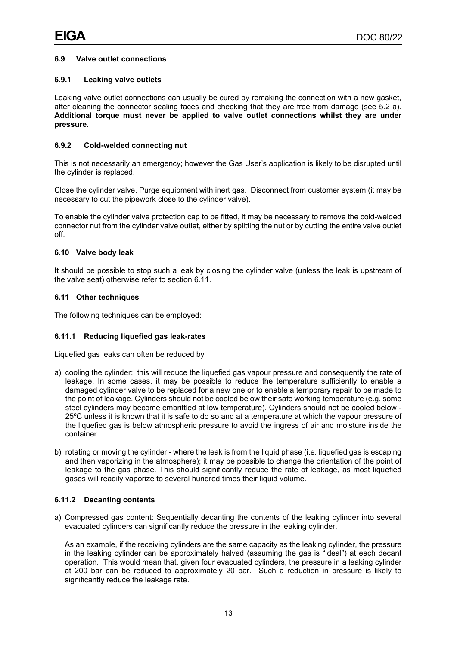#### **6.9 Valve outlet connections**

#### **6.9.1 Leaking valve outlets**

Leaking valve outlet connections can usually be cured by remaking the connection with a new gasket, after cleaning the connector sealing faces and checking that they are free from damage (see 5.2 a). **Additional torque must never be applied to valve outlet connections whilst they are under pressure.**

#### **6.9.2 Cold-welded connecting nut**

This is not necessarily an emergency; however the Gas User's application is likely to be disrupted until the cylinder is replaced.

Close the cylinder valve. Purge equipment with inert gas. Disconnect from customer system (it may be necessary to cut the pipework close to the cylinder valve).

To enable the cylinder valve protection cap to be fitted, it may be necessary to remove the cold-welded connector nut from the cylinder valve outlet, either by splitting the nut or by cutting the entire valve outlet off.

#### **6.10 Valve body leak**

It should be possible to stop such a leak by closing the cylinder valve (unless the leak is upstream of the valve seat) otherwise refer to section 6.11.

#### **6.11 Other techniques**

The following techniques can be employed:

#### **6.11.1 Reducing liquefied gas leak-rates**

Liquefied gas leaks can often be reduced by

- a) cooling the cylinder: this will reduce the liquefied gas vapour pressure and consequently the rate of leakage. In some cases, it may be possible to reduce the temperature sufficiently to enable a damaged cylinder valve to be replaced for a new one or to enable a temporary repair to be made to the point of leakage. Cylinders should not be cooled below their safe working temperature (e.g. some steel cylinders may become embrittled at low temperature). Cylinders should not be cooled below - 25ºC unless it is known that it is safe to do so and at a temperature at which the vapour pressure of the liquefied gas is below atmospheric pressure to avoid the ingress of air and moisture inside the container.
- b) rotating or moving the cylinder where the leak is from the liquid phase (i.e. liquefied gas is escaping and then vaporizing in the atmosphere); it may be possible to change the orientation of the point of leakage to the gas phase. This should significantly reduce the rate of leakage, as most liquefied gases will readily vaporize to several hundred times their liquid volume.

#### **6.11.2 Decanting contents**

a) Compressed gas content: Sequentially decanting the contents of the leaking cylinder into several evacuated cylinders can significantly reduce the pressure in the leaking cylinder.

As an example, if the receiving cylinders are the same capacity as the leaking cylinder, the pressure in the leaking cylinder can be approximately halved (assuming the gas is "ideal") at each decant operation. This would mean that, given four evacuated cylinders, the pressure in a leaking cylinder at 200 bar can be reduced to approximately 20 bar. Such a reduction in pressure is likely to significantly reduce the leakage rate.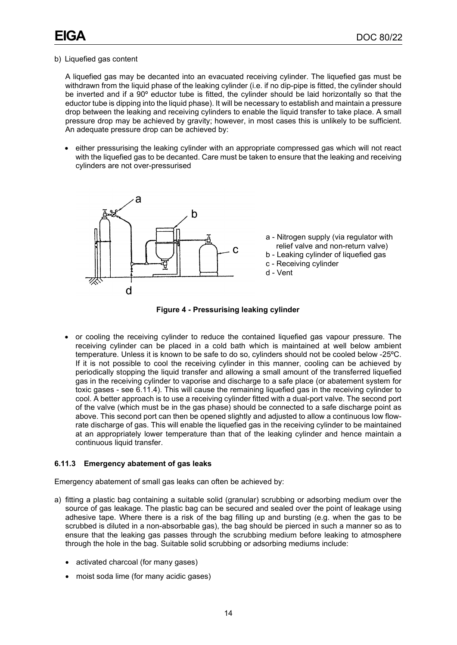a - Nitrogen supply (via regulator with relief valve and non-return valve) b - Leaking cylinder of liquefied gas

c - Receiving cylinder

d - Vent

#### b) Liquefied gas content

A liquefied gas may be decanted into an evacuated receiving cylinder. The liquefied gas must be withdrawn from the liquid phase of the leaking cylinder (i.e. if no dip-pipe is fitted, the cylinder should be inverted and if a 90º eductor tube is fitted, the cylinder should be laid horizontally so that the eductor tube is dipping into the liquid phase). It will be necessary to establish and maintain a pressure drop between the leaking and receiving cylinders to enable the liquid transfer to take place. A small pressure drop may be achieved by gravity; however, in most cases this is unlikely to be sufficient. An adequate pressure drop can be achieved by:

• either pressurising the leaking cylinder with an appropriate compressed gas which will not react with the liquefied gas to be decanted. Care must be taken to ensure that the leaking and receiving cylinders are not over-pressurised





<span id="page-17-0"></span>• or cooling the receiving cylinder to reduce the contained liquefied gas vapour pressure. The receiving cylinder can be placed in a cold bath which is maintained at well below ambient temperature. Unless it is known to be safe to do so, cylinders should not be cooled below -25ºC. If it is not possible to cool the receiving cylinder in this manner, cooling can be achieved by periodically stopping the liquid transfer and allowing a small amount of the transferred liquefied gas in the receiving cylinder to vaporise and discharge to a safe place (or abatement system for toxic gases - see 6.11.4). This will cause the remaining liquefied gas in the receiving cylinder to cool. A better approach is to use a receiving cylinder fitted with a dual-port valve. The second port of the valve (which must be in the gas phase) should be connected to a safe discharge point as above. This second port can then be opened slightly and adjusted to allow a continuous low flowrate discharge of gas. This will enable the liquefied gas in the receiving cylinder to be maintained at an appropriately lower temperature than that of the leaking cylinder and hence maintain a continuous liquid transfer.

#### **6.11.3 Emergency abatement of gas leaks**

Emergency abatement of small gas leaks can often be achieved by:

- a) fitting a plastic bag containing a suitable solid (granular) scrubbing or adsorbing medium over the source of gas leakage. The plastic bag can be secured and sealed over the point of leakage using adhesive tape. Where there is a risk of the bag filling up and bursting (e.g. when the gas to be scrubbed is diluted in a non-absorbable gas), the bag should be pierced in such a manner so as to ensure that the leaking gas passes through the scrubbing medium before leaking to atmosphere through the hole in the bag. Suitable solid scrubbing or adsorbing mediums include:
	- activated charcoal (for many gases)
	- moist soda lime (for many acidic gases)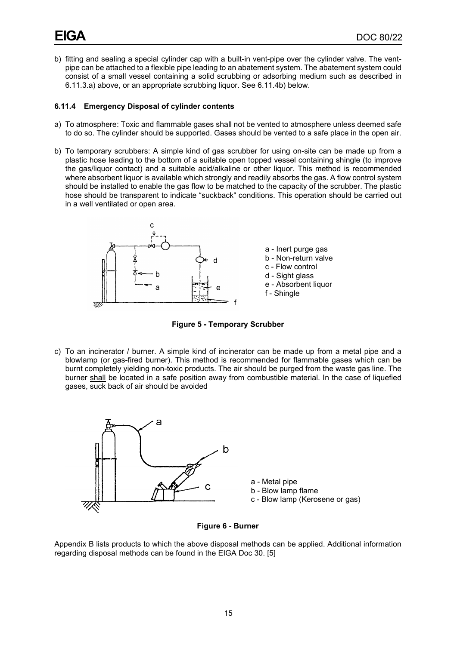b) fitting and sealing a special cylinder cap with a built-in vent-pipe over the cylinder valve. The ventpipe can be attached to a flexible pipe leading to an abatement system. The abatement system could consist of a small vessel containing a solid scrubbing or adsorbing medium such as described in 6.11.3.a) above, or an appropriate scrubbing liquor. See 6.11.4b) below.

#### **6.11.4 Emergency Disposal of cylinder contents**

- a) To atmosphere: Toxic and flammable gases shall not be vented to atmosphere unless deemed safe to do so. The cylinder should be supported. Gases should be vented to a safe place in the open air.
- b) To temporary scrubbers: A simple kind of gas scrubber for using on-site can be made up from a plastic hose leading to the bottom of a suitable open topped vessel containing shingle (to improve the gas/liquor contact) and a suitable acid/alkaline or other liquor. This method is recommended where absorbent liquor is available which strongly and readily absorbs the gas. A flow control system should be installed to enable the gas flow to be matched to the capacity of the scrubber. The plastic hose should be transparent to indicate "suckback" conditions. This operation should be carried out in a well ventilated or open area.



**Figure 5 - Temporary Scrubber**

<span id="page-18-0"></span>c) To an incinerator / burner. A simple kind of incinerator can be made up from a metal pipe and a blowlamp (or gas-fired burner). This method is recommended for flammable gases which can be burnt completely yielding non-toxic products. The air should be purged from the waste gas line. The burner shall be located in a safe position away from combustible material. In the case of liquefied gases, suck back of air should be avoided



**Figure 6 - Burner**

<span id="page-18-1"></span>Appendix B lists products to which the above disposal methods can be applied. Additional information regarding disposal methods can be found in the EIGA Doc 30. [5]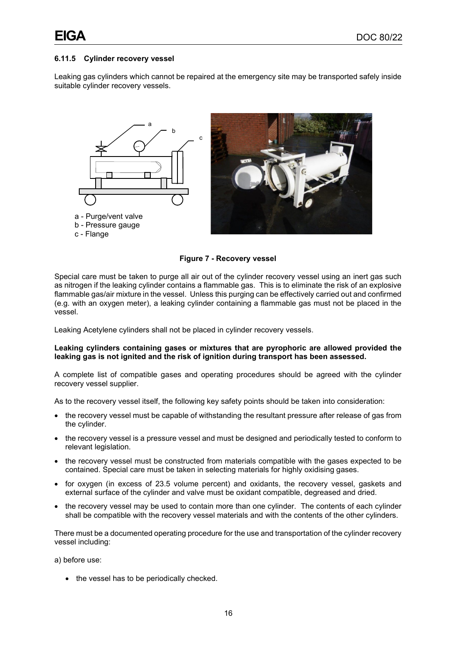#### **6.11.5 Cylinder recovery vessel**

Leaking gas cylinders which cannot be repaired at the emergency site may be transported safely inside suitable cylinder recovery vessels.



**Figure 7 - Recovery vessel**

<span id="page-19-0"></span>Special care must be taken to purge all air out of the cylinder recovery vessel using an inert gas such as nitrogen if the leaking cylinder contains a flammable gas. This is to eliminate the risk of an explosive flammable gas/air mixture in the vessel. Unless this purging can be effectively carried out and confirmed (e.g. with an oxygen meter), a leaking cylinder containing a flammable gas must not be placed in the vessel.

Leaking Acetylene cylinders shall not be placed in cylinder recovery vessels.

#### **Leaking cylinders containing gases or mixtures that are pyrophoric are allowed provided the leaking gas is not ignited and the risk of ignition during transport has been assessed.**

A complete list of compatible gases and operating procedures should be agreed with the cylinder recovery vessel supplier.

As to the recovery vessel itself, the following key safety points should be taken into consideration:

- the recovery vessel must be capable of withstanding the resultant pressure after release of gas from the cylinder.
- the recovery vessel is a pressure vessel and must be designed and periodically tested to conform to relevant legislation.
- the recovery vessel must be constructed from materials compatible with the gases expected to be contained. Special care must be taken in selecting materials for highly oxidising gases.
- for oxygen (in excess of 23.5 volume percent) and oxidants, the recovery vessel, gaskets and external surface of the cylinder and valve must be oxidant compatible, degreased and dried.
- the recovery vessel may be used to contain more than one cylinder. The contents of each cylinder shall be compatible with the recovery vessel materials and with the contents of the other cylinders.

There must be a documented operating procedure for the use and transportation of the cylinder recovery vessel including:

a) before use:

• the vessel has to be periodically checked.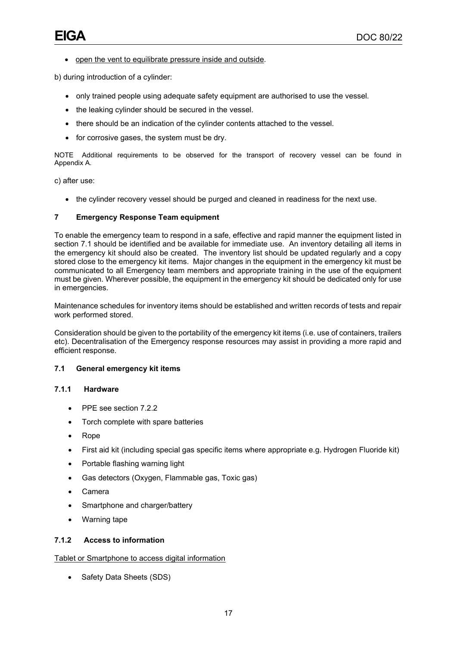• open the vent to equilibrate pressure inside and outside.

b) during introduction of a cylinder:

- only trained people using adequate safety equipment are authorised to use the vessel.
- the leaking cylinder should be secured in the vessel.
- there should be an indication of the cylinder contents attached to the vessel.
- for corrosive gases, the system must be dry.

NOTE Additional requirements to be observed for the transport of recovery vessel can be found in Appendix A.

c) after use:

• the cylinder recovery vessel should be purged and cleaned in readiness for the next use.

#### **7 Emergency Response Team equipment**

To enable the emergency team to respond in a safe, effective and rapid manner the equipment listed in section 7.1 should be identified and be available for immediate use. An inventory detailing all items in the emergency kit should also be created. The inventory list should be updated regularly and a copy stored close to the emergency kit items. Major changes in the equipment in the emergency kit must be communicated to all Emergency team members and appropriate training in the use of the equipment must be given. Wherever possible, the equipment in the emergency kit should be dedicated only for use in emergencies.

Maintenance schedules for inventory items should be established and written records of tests and repair work performed stored.

Consideration should be given to the portability of the emergency kit items (i.e. use of containers, trailers etc). Decentralisation of the Emergency response resources may assist in providing a more rapid and efficient response.

#### **7.1 General emergency kit items**

#### **7.1.1 Hardware**

- PPE see section 7.2.2
- Torch complete with spare batteries
- Rope
- First aid kit (including special gas specific items where appropriate e.g. Hydrogen Fluoride kit)
- Portable flashing warning light
- Gas detectors (Oxygen, Flammable gas, Toxic gas)
- Camera
- Smartphone and charger/battery
- Warning tape

#### **7.1.2 Access to information**

Tablet or Smartphone to access digital information

• Safety Data Sheets (SDS)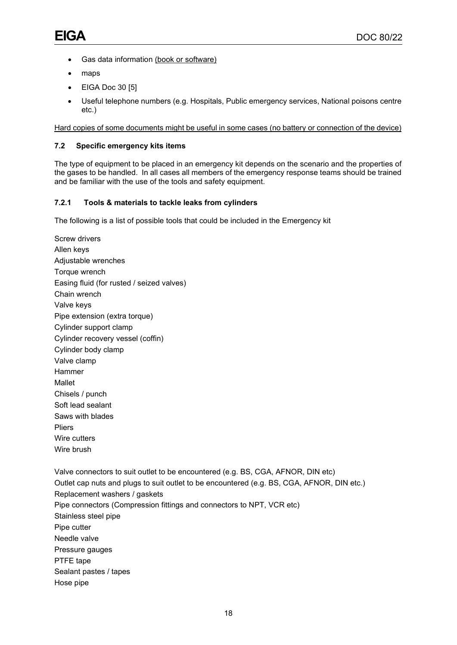- Gas data information (book or software)
- maps

Screw drivers Allen keys

- EIGA Doc 30 [5]
- Useful telephone numbers (e.g. Hospitals, Public emergency services, National poisons centre etc.)

Hard copies of some documents might be useful in some cases (no battery or connection of the device)

#### **7.2 Specific emergency kits items**

The type of equipment to be placed in an emergency kit depends on the scenario and the properties of the gases to be handled. In all cases all members of the emergency response teams should be trained and be familiar with the use of the tools and safety equipment.

### **7.2.1 Tools & materials to tackle leaks from cylinders**

The following is a list of possible tools that could be included in the Emergency kit

Adjustable wrenches Torque wrench Easing fluid (for rusted / seized valves) Chain wrench Valve keys Pipe extension (extra torque) Cylinder support clamp Cylinder recovery vessel (coffin) Cylinder body clamp Valve clamp Hammer Mallet Chisels / punch Soft lead sealant Saws with blades Pliers Wire cutters Wire brush Valve connectors to suit outlet to be encountered (e.g. BS, CGA, AFNOR, DIN etc) Outlet cap nuts and plugs to suit outlet to be encountered (e.g. BS, CGA, AFNOR, DIN etc.) Replacement washers / gaskets Pipe connectors (Compression fittings and connectors to NPT, VCR etc) Stainless steel pipe Pipe cutter Needle valve Pressure gauges PTFE tape Sealant pastes / tapes Hose pipe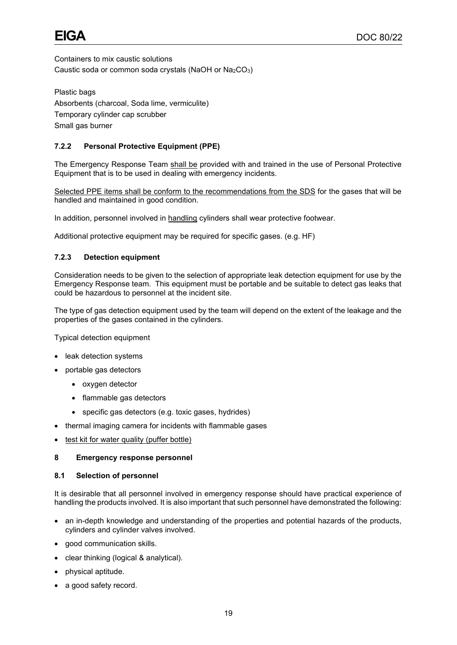Containers to mix caustic solutions Caustic soda or common soda crystals (NaOH or Na2CO3)

Plastic bags Absorbents (charcoal, Soda lime, vermiculite) Temporary cylinder cap scrubber Small gas burner

### **7.2.2 Personal Protective Equipment (PPE)**

The Emergency Response Team shall be provided with and trained in the use of Personal Protective Equipment that is to be used in dealing with emergency incidents.

Selected PPE items shall be conform to the recommendations from the SDS for the gases that will be handled and maintained in good condition.

In addition, personnel involved in handling cylinders shall wear protective footwear.

Additional protective equipment may be required for specific gases. (e.g. HF)

#### **7.2.3 Detection equipment**

Consideration needs to be given to the selection of appropriate leak detection equipment for use by the Emergency Response team. This equipment must be portable and be suitable to detect gas leaks that could be hazardous to personnel at the incident site.

The type of gas detection equipment used by the team will depend on the extent of the leakage and the properties of the gases contained in the cylinders.

Typical detection equipment

- leak detection systems
- portable gas detectors
	- oxygen detector
	- flammable gas detectors
	- specific gas detectors (e.g. toxic gases, hydrides)
- thermal imaging camera for incidents with flammable gases
- test kit for water quality (puffer bottle)

#### **8 Emergency response personnel**

#### **8.1 Selection of personnel**

It is desirable that all personnel involved in emergency response should have practical experience of handling the products involved. It is also important that such personnel have demonstrated the following:

- an in-depth knowledge and understanding of the properties and potential hazards of the products, cylinders and cylinder valves involved.
- good communication skills.
- clear thinking (logical & analytical).
- physical aptitude.
- a good safety record.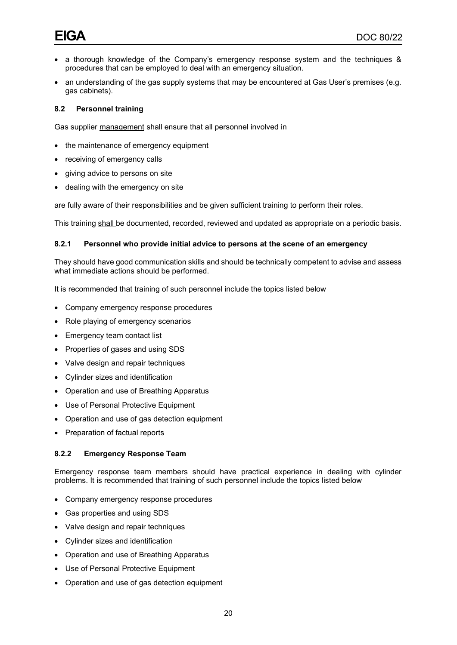- a thorough knowledge of the Company's emergency response system and the techniques & procedures that can be employed to deal with an emergency situation.
- an understanding of the gas supply systems that may be encountered at Gas User's premises (e.g. gas cabinets).

#### **8.2 Personnel training**

Gas supplier management shall ensure that all personnel involved in

- the maintenance of emergency equipment
- receiving of emergency calls
- giving advice to persons on site
- dealing with the emergency on site

are fully aware of their responsibilities and be given sufficient training to perform their roles.

This training shall be documented, recorded, reviewed and updated as appropriate on a periodic basis.

#### **8.2.1 Personnel who provide initial advice to persons at the scene of an emergency**

They should have good communication skills and should be technically competent to advise and assess what immediate actions should be performed.

It is recommended that training of such personnel include the topics listed below

- Company emergency response procedures
- Role playing of emergency scenarios
- Emergency team contact list
- Properties of gases and using SDS
- Valve design and repair techniques
- Cylinder sizes and identification
- Operation and use of Breathing Apparatus
- Use of Personal Protective Equipment
- Operation and use of gas detection equipment
- Preparation of factual reports

#### **8.2.2 Emergency Response Team**

Emergency response team members should have practical experience in dealing with cylinder problems. It is recommended that training of such personnel include the topics listed below

- Company emergency response procedures
- Gas properties and using SDS
- Valve design and repair techniques
- Cylinder sizes and identification
- Operation and use of Breathing Apparatus
- Use of Personal Protective Equipment
- Operation and use of gas detection equipment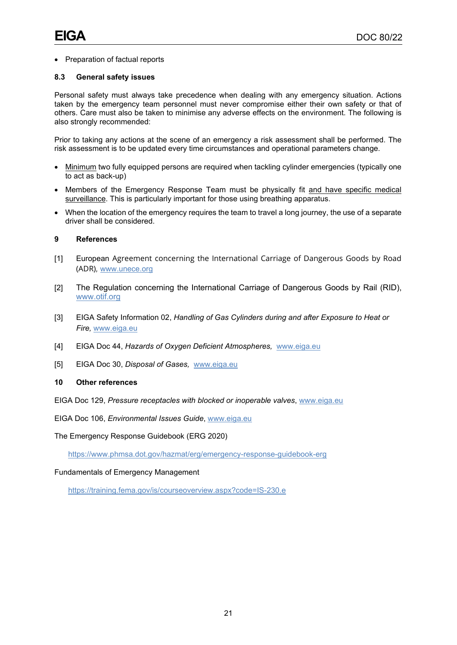#### • Preparation of factual reports

#### **8.3 General safety issues**

Personal safety must always take precedence when dealing with any emergency situation. Actions taken by the emergency team personnel must never compromise either their own safety or that of others. Care must also be taken to minimise any adverse effects on the environment. The following is also strongly recommended:

Prior to taking any actions at the scene of an emergency a risk assessment shall be performed. The risk assessment is to be updated every time circumstances and operational parameters change.

- Minimum two fully equipped persons are required when tackling cylinder emergencies (typically one to act as back-up)
- Members of the Emergency Response Team must be physically fit and have specific medical surveillance. This is particularly important for those using breathing apparatus.
- When the location of the emergency requires the team to travel a long journey, the use of a separate driver shall be considered.

#### **9 References**

- [1] European Agreement concerning the International Carriage of Dangerous Goods by Road (ADR)*,* [www.unece.org](http://www.unece.org/)
- [2] The Regulation concerning the International Carriage of Dangerous Goods by Rail (RID), www.otif.org
- [3] EIGA Safety Information 02, *Handling of Gas Cylinders during and after Exposure to Heat or Fire,* [www.eiga.eu](http://www.eiga.eu/)
- [4] EIGA Doc 44, *Hazards of Oxygen Deficient Atmospheres,* [www.eiga.eu](http://www.eiga.eu/)
- [5] EIGA Doc 30, *Disposal of Gases,* [www.eiga.eu](http://www.eiga.eu/)

#### **10 Other references**

EIGA Doc 129, *Pressure receptacles with blocked or inoperable valves*, [www.eiga.eu](http://www.eiga.eu/)

EIGA Doc 106, *Environmental Issues Guide*, [www.eiga.eu](http://www.eiga.eu/)

The Emergency Response Guidebook (ERG 2020)

<https://www.phmsa.dot.gov/hazmat/erg/emergency-response-guidebook-erg>

#### Fundamentals of Emergency Management

<https://training.fema.gov/is/courseoverview.aspx?code=IS-230.e>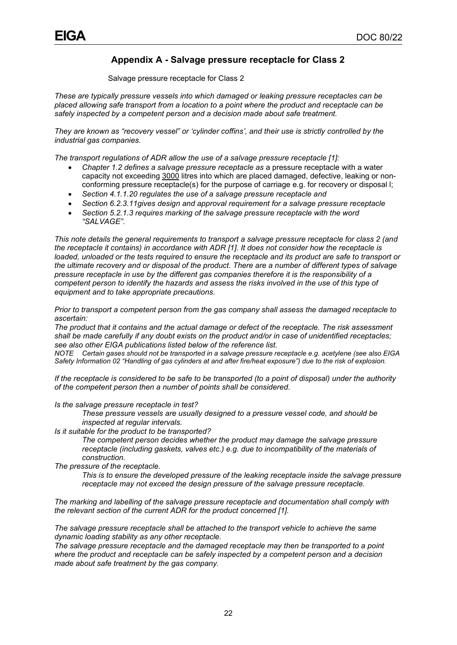## **Appendix A - Salvage pressure receptacle for Class 2**

Salvage pressure receptacle for Class 2

*These are typically pressure vessels into which damaged or leaking pressure receptacles can be placed allowing safe transport from a location to a point where the product and receptacle can be safely inspected by a competent person and a decision made about safe treatment.*

*They are known as "recovery vessel" or 'cylinder coffins', and their use is strictly controlled by the industrial gas companies.*

*The transport regulations of ADR allow the use of a salvage pressure receptacle [1]:* 

- *Chapter 1.2 defines a salvage pressure receptacle as* a pressure receptacle with a water capacity not exceeding 3000 litres into which are placed damaged, defective, leaking or nonconforming pressure receptacle(s) for the purpose of carriage e.g. for recovery or disposal l;
- *Section 4.1.1.20 regulates the use of a salvage pressure receptacle and*
- *Section 6.2.3.11gives design and approval requirement for a salvage pressure receptacle*
- *Section 5.2.1.3 requires marking of the salvage pressure receptacle with the word "SALVAGE".*

*This note details the general requirements to transport a salvage pressure receptacle for class 2 (and the receptacle it contains) in accordance with ADR [1]. It does not consider how the receptacle is loaded, unloaded or the tests required to ensure the receptacle and its product are safe to transport or the ultimate recovery and or disposal of the product. There are a number of different types of salvage pressure receptacle in use by the different gas companies therefore it is the responsibility of a competent person to identify the hazards and assess the risks involved in the use of this type of equipment and to take appropriate precautions.*

*Prior to transport a competent person from the gas company shall assess the damaged receptacle to ascertain:*

*The product that it contains and the actual damage or defect of the receptacle. The risk assessment shall be made carefully if any doubt exists on the product and/or in case of unidentified receptacles; see also other EIGA publications listed below of the reference list.*

*NOTE Certain gases should not be transported in a salvage pressure receptacle e.g. acetylene (see also EIGA Safety Information 02 "Handling of gas cylinders at and after fire/heat exposure") due to the risk of explosion.*

*If the receptacle is considered to be safe to be transported (to a point of disposal) under the authority of the competent person then a number of points shall be considered.*

*Is the salvage pressure receptacle in test?*

*These pressure vessels are usually designed to a pressure vessel code, and should be inspected at regular intervals.*

*Is it suitable for the product to be transported?*

*The competent person decides whether the product may damage the salvage pressure receptacle (including gaskets, valves etc.) e.g. due to incompatibility of the materials of construction.*

*The pressure of the receptacle.*

*This is to ensure the developed pressure of the leaking receptacle inside the salvage pressure receptacle may not exceed the design pressure of the salvage pressure receptacle.*

*The marking and labelling of the salvage pressure receptacle and documentation shall comply with the relevant section of the current ADR for the product concerned [1].* 

*The salvage pressure receptacle shall be attached to the transport vehicle to achieve the same dynamic loading stability as any other receptacle.*

*The salvage pressure receptacle and the damaged receptacle may then be transported to a point where the product and receptacle can be safely inspected by a competent person and a decision made about safe treatment by the gas company.*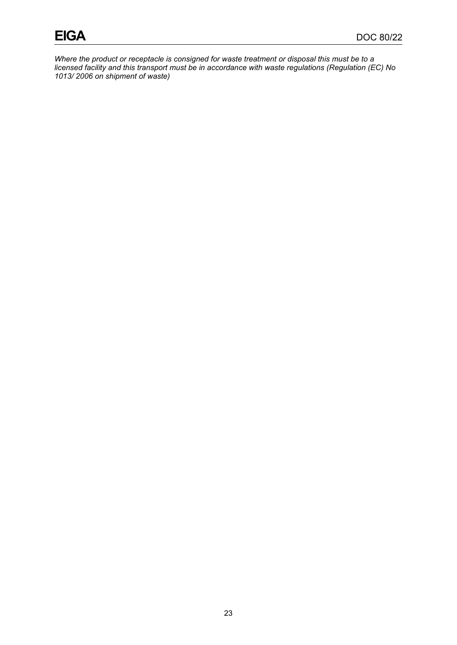*Where the product or receptacle is consigned for waste treatment or disposal this must be to a licensed facility and this transport must be in accordance with waste regulations (Regulation (EC) No 1013/ 2006 on shipment of waste)*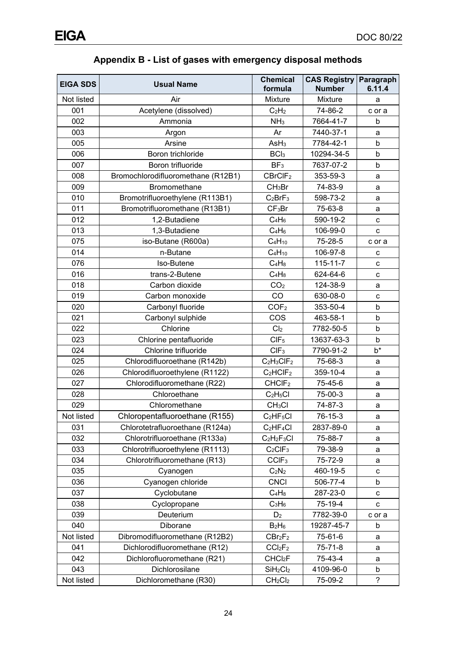| <b>EIGA SDS</b> | <b>Usual Name</b>                  | <b>Chemical</b><br>formula       | <b>CAS Registry</b><br><b>Number</b> | Paragraph<br>6.11.4      |
|-----------------|------------------------------------|----------------------------------|--------------------------------------|--------------------------|
| Not listed      | Air                                | Mixture                          | Mixture                              | a                        |
| 001             | Acetylene (dissolved)              | $C_2H_2$                         | 74-86-2                              | c or a                   |
| 002             | Ammonia                            | NH <sub>3</sub>                  | 7664-41-7                            | b                        |
| 003             | Argon                              | Ar                               | 7440-37-1                            | a                        |
| 005             | Arsine                             | AsH <sub>3</sub>                 | 7784-42-1                            | b                        |
| 006             | Boron trichloride                  | BCI <sub>3</sub>                 | 10294-34-5                           | b                        |
| 007             | Boron trifluoride                  | BF <sub>3</sub>                  | 7637-07-2                            | b                        |
| 008             | Bromochlorodifluoromethane (R12B1) | CBrCIF <sub>2</sub>              | 353-59-3                             | a                        |
| 009             | Bromomethane                       | CH <sub>3</sub> Br               | 74-83-9                              | a                        |
| 010             | Bromotrifluoroethylene (R113B1)    | $C_2BrF_3$                       | 598-73-2                             | a                        |
| 011             | Bromotrifluoromethane (R13B1)      | CF <sub>3</sub> Br               | 75-63-8                              | a                        |
| 012             | 1,2-Butadiene                      | $C_4H_6$                         | 590-19-2                             | С                        |
| 013             | 1,3-Butadiene                      | $C_4H_6$                         | 106-99-0                             | C                        |
| 075             | iso-Butane (R600a)                 | $C_4H_{10}$                      | 75-28-5                              | c or a                   |
| 014             | n-Butane                           | $C_4H_{10}$                      | 106-97-8                             | с                        |
| 076             | Iso-Butene                         | $C_4H_8$                         | $115 - 11 - 7$                       | C                        |
| 016             | trans-2-Butene                     | $C_4H_8$                         | 624-64-6                             | с                        |
| 018             | Carbon dioxide                     | CO <sub>2</sub>                  | 124-38-9                             | a                        |
| 019             | Carbon monoxide                    | CO                               | 630-08-0                             | с                        |
| 020             | Carbonyl fluoride                  | COF <sub>2</sub>                 | 353-50-4                             | b                        |
| 021             | Carbonyl sulphide                  | COS                              | 463-58-1                             | b                        |
| 022             | Chlorine                           | Cl <sub>2</sub>                  | 7782-50-5                            | b                        |
| 023             | Chlorine pentafluoride             | CIF <sub>5</sub>                 | 13637-63-3                           | b                        |
| 024             | Chlorine trifluoride               | CIF <sub>3</sub>                 | 7790-91-2                            | $b^*$                    |
| 025             | Chlorodifluoroethane (R142b)       | $C_2H_3CIF_2$                    | 75-68-3                              | a                        |
| 026             | Chlorodifluoroethylene (R1122)     | $C_2HCIF_2$                      | 359-10-4                             | a                        |
| 027             | Chlorodifluoromethane (R22)        | CHCIF <sub>2</sub>               | 75-45-6                              | a                        |
| 028             | Chloroethane                       | $C_2H_5Cl$                       | 75-00-3                              | a                        |
| 029             | Chloromethane                      | CH <sub>3</sub> Cl               | 74-87-3                              | a                        |
| Not listed      | Chloropentafluoroethane (R155)     | $C_2HF_5Cl$                      | 76-15-3                              | a                        |
| 031             | Chlorotetrafluoroethane (R124a)    | $C_2HF_4Cl$                      | 2837-89-0                            | а                        |
| 032             | Chlorotrifluoroethane (R133a)      | $C_2H_2F_3Cl$                    | 75-88-7                              | а                        |
| 033             | Chlorotrifluoroethylene (R1113)    | $C_2CIF_3$                       | 79-38-9                              | a                        |
| 034             | Chlorotrifluoromethane (R13)       | CCIF <sub>3</sub>                | 75-72-9                              | a                        |
| 035             | Cyanogen                           | $C_2N_2$                         | 460-19-5                             | с                        |
| 036             | Cyanogen chloride                  | <b>CNCI</b>                      | 506-77-4                             | b                        |
| 037             | Cyclobutane                        | $C_4H_8$                         | 287-23-0                             | с                        |
| 038             | Cyclopropane                       | $C_3H_6$                         | 75-19-4                              | c                        |
| 039             | Deuterium                          | D <sub>2</sub>                   | 7782-39-0                            | c or a                   |
| 040             | Diborane                           | $B_2H_6$                         | 19287-45-7                           | b                        |
| Not listed      | Dibromodifluoromethane (R12B2)     | CBr <sub>2</sub> F <sub>2</sub>  | 75-61-6                              | а                        |
| 041             | Dichlorodifluoromethane (R12)      | CCI <sub>2</sub> F <sub>2</sub>  | $75 - 71 - 8$                        | a                        |
| 042             | Dichlorofluoromethane (R21)        | CHCl <sub>2</sub> F              | 75-43-4                              | а                        |
| 043             | Dichlorosilane                     | SiH <sub>2</sub> Cl <sub>2</sub> | 4109-96-0                            | b                        |
| Not listed      | Dichloromethane (R30)              | CH <sub>2</sub> Cl <sub>2</sub>  | 75-09-2                              | $\overline{\phantom{a}}$ |

**Appendix B - List of gases with emergency disposal methods**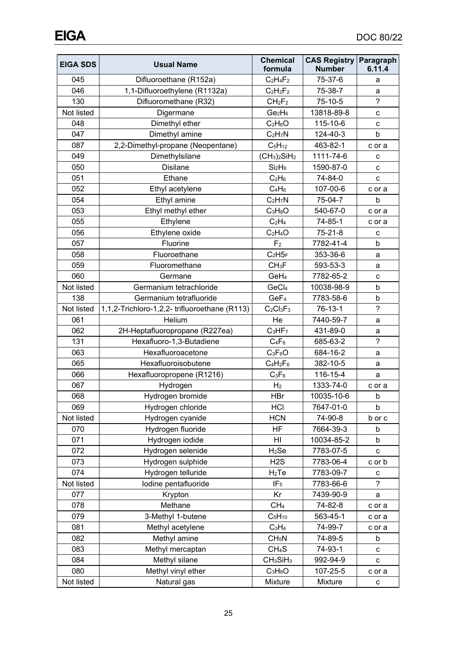| <b>EIGA SDS</b> | <b>Usual Name</b>                            | <b>Chemical</b><br>formula       | <b>CAS Registry</b><br><b>Number</b> | Paragraph<br>6.11.4 |
|-----------------|----------------------------------------------|----------------------------------|--------------------------------------|---------------------|
| 045             | Difluoroethane (R152a)                       | $C_2H_4F_2$                      | 75-37-6                              | a                   |
| 046             | 1,1-Difluoroethylene (R1132a)                | $C_2H_2F_2$                      | 75-38-7                              | a                   |
| 130             | Difluoromethane (R32)                        | CH <sub>2</sub> F <sub>2</sub>   | 75-10-5                              | $\overline{?}$      |
| Not listed      | Digermane                                    | Ge <sub>2</sub> H <sub>6</sub>   | 13818-89-8                           | с                   |
| 048             | Dimethyl ether                               | $C_2H_6O$                        | 115-10-6                             | с                   |
| 047             | Dimethyl amine                               | $C_2H_7N$                        | 124-40-3                             | b                   |
| 087             | 2,2-Dimethyl-propane (Neopentane)            | $C_5H_{12}$                      | 463-82-1                             | c or a              |
| 049             | Dimethylsilane                               | $(CH3)2SiH2$                     | 1111-74-6                            | с                   |
| 050             | <b>Disilane</b>                              | Si <sub>2</sub> H <sub>6</sub>   | 1590-87-0                            | C                   |
| 051             | Ethane                                       | $C_2H_6$                         | 74-84-0                              | C                   |
| 052             | Ethyl acetylene                              | $C_4H_6$                         | 107-00-6                             | c or a              |
| 054             | Ethyl amine                                  | $C_2H_7N$                        | 75-04-7                              | b                   |
| 053             | Ethyl methyl ether                           | $C_3H_8O$                        | 540-67-0                             | c or a              |
| 055             | Ethylene                                     | $C_2H_4$                         | 74-85-1                              | c or a              |
| 056             | Ethylene oxide                               | $C_2H_4O$                        | $75 - 21 - 8$                        | c                   |
| 057             | Fluorine                                     | F <sub>2</sub>                   | 7782-41-4                            | b                   |
| 058             | Fluoroethane                                 | $C_2H5_F$                        | 353-36-6                             | a                   |
| 059             | Fluoromethane                                | CH <sub>3</sub> F                | 593-53-3                             | a                   |
| 060             | Germane                                      | GeH <sub>4</sub>                 | 7782-65-2                            | с                   |
| Not listed      | Germanium tetrachloride                      | GeCl <sub>4</sub>                | 10038-98-9                           | b                   |
| 138             | Germanium tetrafluoride                      | GeF <sub>4</sub>                 | 7783-58-6                            | b                   |
| Not listed      | 1,1,2-Trichloro-1,2,2-trifluoroethane (R113) | $C_2Cl_3F_3$                     | 76-13-1                              | $\overline{?}$      |
| 061             | Helium                                       | He                               | 7440-59-7                            | a                   |
| 062             | 2H-Heptafluoropropane (R227ea)               | $C_3HF_7$                        | 431-89-0                             | а                   |
| 131             | Hexafluoro-1,3-Butadiene                     | $C_4F_6$                         | 685-63-2                             | $\overline{?}$      |
| 063             | Hexafluoroacetone                            | $C_3F_6O$                        | 684-16-2                             | a                   |
| 065             | Hexafluoroisobutene                          | $C_4H_2F_6$                      | 382-10-5                             | a                   |
| 066             | Hexafluoropropene (R1216)                    | $C_3F_6$                         | 116-15-4                             | a                   |
| 067             | Hydrogen                                     | H <sub>2</sub>                   | 1333-74-0                            | c or a              |
| 068             | Hydrogen bromide                             | <b>HBr</b>                       | 10035-10-6                           | b                   |
| 069             | Hydrogen chloride                            | HCI                              | 7647-01-0                            | b                   |
| Not listed      | Hydrogen cyanide                             | <b>HCN</b>                       | 74-90-8                              | b or c              |
| 070             | Hydrogen fluoride                            | HF                               | 7664-39-3                            | b                   |
| 071             | Hydrogen iodide                              | HI                               | 10034-85-2                           | b                   |
| 072             | Hydrogen selenide                            | $H2$ Se                          | 7783-07-5                            | с                   |
| 073             | Hydrogen sulphide                            | H2S                              | 7783-06-4                            | c or b              |
| 074             | Hydrogen telluride                           | $H_2Te$                          | 7783-09-7                            | с                   |
| Not listed      | Iodine pentafluoride                         | IF <sub>5</sub>                  | 7783-66-6                            | ?                   |
| 077             | Krypton                                      | Kr                               | 7439-90-9                            | a                   |
| 078             | Methane                                      | CH <sub>4</sub>                  | 74-82-8                              | c or a              |
| 079             | 3-Methyl 1-butene                            | $C_5H_{10}$                      | 563-45-1                             | c or a              |
| 081             | Methyl acetylene                             | $C_3H_4$                         | 74-99-7                              | c or a              |
| 082             | Methyl amine                                 | CH <sub>5</sub> N                | 74-89-5                              | b                   |
| 083             | Methyl mercaptan                             | CH <sub>4</sub> S                | 74-93-1                              | с                   |
| 084             | Methyl silane                                | CH <sub>3</sub> SiH <sub>3</sub> | 992-94-9                             | С                   |
| 080             | Methyl vinyl ether                           | $C_3H_6O$                        | 107-25-5                             | c or a              |
| Not listed      | Natural gas                                  | Mixture                          | Mixture                              | С                   |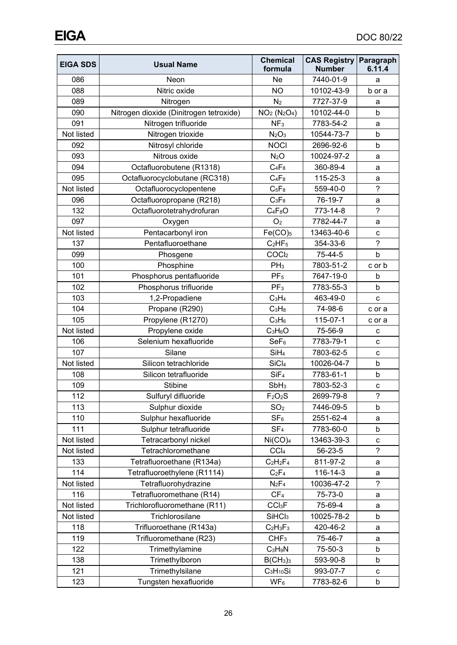| <b>EIGA SDS</b> | <b>Usual Name</b>                       | <b>Chemical</b><br>formula       | <b>CAS Registry</b><br><b>Number</b> | Paragraph<br>6.11.4 |
|-----------------|-----------------------------------------|----------------------------------|--------------------------------------|---------------------|
| 086             | Neon                                    | Ne                               | 7440-01-9                            | a                   |
| 088             | Nitric oxide                            | <b>NO</b>                        | 10102-43-9                           | b or a              |
| 089             | Nitrogen                                | N <sub>2</sub>                   | 7727-37-9                            | а                   |
| 090             | Nitrogen dioxide (Dinitrogen tetroxide) | $NO2 (N2O4)$                     | 10102-44-0                           | b                   |
| 091             | Nitrogen trifluoride                    | NF <sub>3</sub>                  | 7783-54-2                            | a                   |
| Not listed      | Nitrogen trioxide                       | N <sub>2</sub> O <sub>3</sub>    | 10544-73-7                           | b                   |
| 092             | Nitrosyl chloride                       | <b>NOCI</b>                      | 2696-92-6                            | b                   |
| 093             | Nitrous oxide                           | N <sub>2</sub> O                 | 10024-97-2                           | a                   |
| 094             | Octafluorobutene (R1318)                | $C_4F_8$                         | 360-89-4                             | a                   |
| 095             | Octafluorocyclobutane (RC318)           | $C_4F_8$                         | 115-25-3                             | a                   |
| Not listed      | Octafluorocyclopentene                  | $C_5F_8$                         | 559-40-0                             | $\overline{?}$      |
| 096             | Octafluoropropane (R218)                | $C_3F_8$                         | 76-19-7                              | a                   |
| 132             | Octafluorotetrahydrofuran               | $C_4F_8O$                        | 773-14-8                             | $\tilde{?}$         |
| 097             | Oxygen                                  | O <sub>2</sub>                   | 7782-44-7                            | a                   |
| Not listed      | Pentacarbonyl iron                      | $Fe(CO)_{5}$                     | 13463-40-6                           | $\mathbf C$         |
| 137             | Pentafluoroethane                       | C <sub>2</sub> HF <sub>5</sub>   | 354-33-6                             | $\overline{?}$      |
| 099             | Phosgene                                | COCl <sub>2</sub>                | 75-44-5                              | b                   |
| 100             | Phosphine                               | PH <sub>3</sub>                  | 7803-51-2                            | c or b              |
| 101             | Phosphorus pentafluoride                | PF <sub>5</sub>                  | 7647-19-0                            | b                   |
| 102             | Phosphorus trifluoride                  | PF <sub>3</sub>                  | 7783-55-3                            | $\mathsf b$         |
| 103             | 1,2-Propadiene                          | $C_3H_4$                         | 463-49-0                             | C                   |
| 104             | Propane (R290)                          | $C_3H_8$                         | 74-98-6                              | c or a              |
| 105             | Propylene (R1270)                       | $C_3H_6$                         | 115-07-1                             | c or a              |
| Not listed      | Propylene oxide                         | $C_3H_6O$                        | 75-56-9                              | с                   |
| 106             | Selenium hexafluoride                   | SeF <sub>6</sub>                 | 7783-79-1                            | с                   |
| 107             | Silane                                  | SiH <sub>4</sub>                 | 7803-62-5                            | C                   |
| Not listed      | Silicon tetrachloride                   | SiCl <sub>4</sub>                | 10026-04-7                           | b                   |
| 108             | Silicon tetrafluoride                   | SiF <sub>4</sub>                 | 7783-61-1                            | $\mathsf b$         |
| 109             | <b>Stibine</b>                          | SbH <sub>3</sub>                 | 7803-52-3                            | $\mathbf{C}$        |
| 112             | Sulfuryl difluoride                     | F <sub>2</sub> O <sub>2</sub> S  | 2699-79-8                            | $\overline{?}$      |
| 113             | Sulphur dioxide                         | SO <sub>2</sub>                  | 7446-09-5                            | b                   |
| 110             | Sulphur hexafluoride                    | SF <sub>6</sub>                  | 2551-62-4                            | а                   |
| 111             | Sulphur tetrafluoride                   | SF <sub>4</sub>                  | 7783-60-0                            | b                   |
| Not listed      | Tetracarbonyl nickel                    | Ni(CO) <sub>4</sub>              | 13463-39-3                           | $\mathbf C$         |
| Not listed      | Tetrachloromethane                      | CCI <sub>4</sub>                 | 56-23-5                              | $\tilde{?}$         |
| 133             | Tetrafluoroethane (R134a)               | $C_2H_2F_4$                      | 811-97-2                             | а                   |
| 114             | Tetrafluoroethylene (R1114)             | $C_2F_4$                         | 116-14-3                             | a                   |
| Not listed      | Tetrafluorohydrazine                    | $N_2F_4$                         | 10036-47-2                           | $\tilde{?}$         |
| 116             | Tetrafluoromethane (R14)                | CF <sub>4</sub>                  | 75-73-0                              | a                   |
| Not listed      | Trichlorofluoromethane (R11)            | CCI <sub>3</sub> F               | 75-69-4                              | a                   |
| Not listed      | Trichlorosilane                         | SiHCl <sub>3</sub>               | 10025-78-2                           | b                   |
| 118             | Trifluoroethane (R143a)                 | $C_2H_3F_3$                      | 420-46-2                             | а                   |
| 119             | Trifluoromethane (R23)                  | CHF <sub>3</sub>                 | 75-46-7                              | а                   |
| 122             | Trimethylamine                          | $C_3H_9N$                        | 75-50-3                              | b                   |
| 138             | Trimethylboron                          | B(CH <sub>3</sub> ) <sub>3</sub> | 593-90-8                             | b                   |
| 121             | Trimethylsilane                         | $C_3H_{10}Si$                    | 993-07-7                             | с                   |
| 123             | Tungsten hexafluoride                   | $WF_6$                           | 7783-82-6                            | b                   |